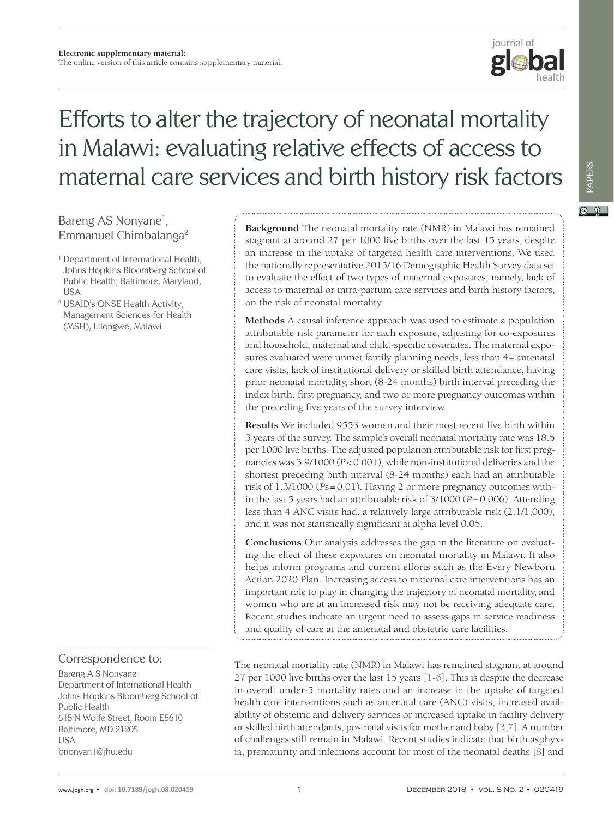

# Efforts to alter the trajectory of neonatal mortality in Malawi: evaluating relative effects of access to maternal care services and birth history risk factors

## Bareng AS Nonyane<sup>1</sup>, Emmanuel Chimbalanga2

- <sup>1</sup> Department of International Health, Johns Hopkins Bloomberg School of Public Health, Baltimore, Maryland, USA
- <sup>2</sup> USAID's ONSE Health Activity, Management Sciences for Health (MSH), Lilongwe, Malawi

Correspondence to:

Bareng A S Nonyane Department of International Health Johns Hopkins Bloomberg School of Public Health 615 N Wolfe Street, Room E5610 Baltimore, MD 21205 **USA** bnonyan1@jhu.edu

**Background** The neonatal mortality rate (NMR) in Malawi has remained stagnant at around 27 per 1000 live births over the last 15 years, despite an increase in the uptake of targeted health care interventions. We used the nationally representative 2015/16 Demographic Health Survey data set to evaluate the effect of two types of maternal exposures, namely, lack of access to maternal or intra-partum care services and birth history factors, on the risk of neonatal mortality.

**Methods** A causal inference approach was used to estimate a population attributable risk parameter for each exposure, adjusting for co-exposures and household, maternal and child-specific covariates. The maternal exposures evaluated were unmet family planning needs, less than 4+ antenatal care visits, lack of institutional delivery or skilled birth attendance, having prior neonatal mortality, short (8-24 months) birth interval preceding the index birth, first pregnancy, and two or more pregnancy outcomes within the preceding five years of the survey interview.

**Results** We included 9553 women and their most recent live birth within 3 years of the survey. The sample's overall neonatal mortality rate was 18.5 per 1000 live births. The adjusted population attributable risk for first pregnancies was 3.9/1000 (*P*<0.001), while non-institutional deliveries and the shortest preceding birth interval (8-24 months) each had an attributable risk of 1.3/1000 (*P*s=0.01). Having 2 or more pregnancy outcomes within the last 5 years had an attributable risk of 3/1000 (*P*=0.006). Attending less than 4 ANC visits had, a relatively large attributable risk (2.1/1,000), and it was not statistically significant at alpha level 0.05.

**Conclusions** Our analysis addresses the gap in the literature on evaluating the effect of these exposures on neonatal mortality in Malawi. It also helps inform programs and current efforts such as the Every Newborn Action 2020 Plan. Increasing access to maternal care interventions has an important role to play in changing the trajectory of neonatal mortality, and women who are at an increased risk may not be receiving adequate care. Recent studies indicate an urgent need to assess gaps in service readiness and quality of care at the antenatal and obstetric care facilities.

The neonatal mortality rate (NMR) in Malawi has remained stagnant at around 27 per 1000 live births over the last 15 years [\[1-](#page-6-0)[6](#page-6-1)]. This is despite the decrease in overall under-5 mortality rates and an increase in the uptake of targeted health care interventions such as antenatal care (ANC) visits, increased availability of obstetric and delivery services or increased uptake in facility delivery or skilled birth attendants, postnatal visits for mother and baby [[3](#page-6-2)[,7](#page-6-3)]. A number of challenges still remain in Malawi. Recent studies indicate that birth asphyxia, prematurity and infections account for most of the neonatal deaths [\[8](#page-6-4)] and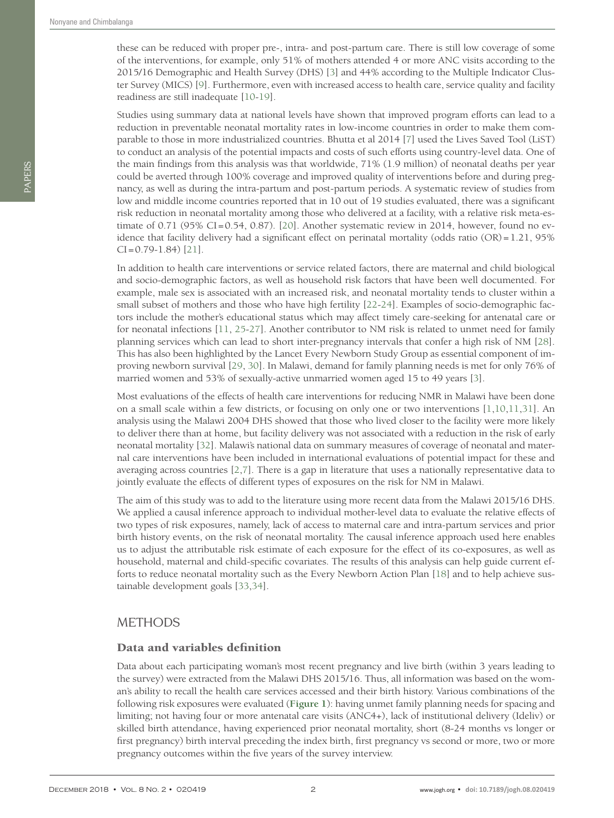these can be reduced with proper pre-, intra- and post-partum care. There is still low coverage of some of the interventions, for example, only 51% of mothers attended 4 or more ANC visits according to the 2015/16 Demographic and Health Survey (DHS) [[3](#page-6-2)] and 44% according to the Multiple Indicator Cluster Survey (MICS) [[9\]](#page-6-5). Furthermore, even with increased access to health care, service quality and facility readiness are still inadequate [\[10-](#page-6-6)[19\]](#page-6-7).

Studies using summary data at national levels have shown that improved program efforts can lead to a reduction in preventable neonatal mortality rates in low-income countries in order to make them comparable to those in more industrialized countries. Bhutta et al 2014 [\[7](#page-6-3)] used the Lives Saved Tool (LiST) to conduct an analysis of the potential impacts and costs of such efforts using country-level data. One of the main findings from this analysis was that worldwide, 71% (1.9 million) of neonatal deaths per year could be averted through 100% coverage and improved quality of interventions before and during pregnancy, as well as during the intra-partum and post-partum periods. A systematic review of studies from low and middle income countries reported that in 10 out of 19 studies evaluated, there was a significant risk reduction in neonatal mortality among those who delivered at a facility, with a relative risk meta-estimate of  $0.71$  (95% CI=0.54, 0.87). [[20\]](#page-6-8). Another systematic review in 2014, however, found no evidence that facility delivery had a significant effect on perinatal mortality (odds ratio (OR) =1.21, 95%  $CI = 0.79 - 1.84$  [\[21\]](#page-6-9).

In addition to health care interventions or service related factors, there are maternal and child biological and socio-demographic factors, as well as household risk factors that have been well documented. For example, male sex is associated with an increased risk, and neonatal mortality tends to cluster within a small subset of mothers and those who have high fertility [[22](#page-6-10)-[24](#page-6-11)]. Examples of socio-demographic factors include the mother's educational status which may affect timely care-seeking for antenatal care or for neonatal infections [[11](#page-6-12), [25](#page-6-13)-[27\]](#page-7-0). Another contributor to NM risk is related to unmet need for family planning services which can lead to short inter-pregnancy intervals that confer a high risk of NM [[28](#page-7-1)]. This has also been highlighted by the Lancet Every Newborn Study Group as essential component of improving newborn survival [[29](#page-7-2), [30](#page-7-3)]. In Malawi, demand for family planning needs is met for only 76% of married women and 53% of sexually-active unmarried women aged 15 to 49 years [\[3\]](#page-6-2).

Most evaluations of the effects of health care interventions for reducing NMR in Malawi have been done on a small scale within a few districts, or focusing on only one or two interventions [[1](#page-6-0),[10,](#page-6-6)[11,](#page-6-12)[31](#page-7-4)]. An analysis using the Malawi 2004 DHS showed that those who lived closer to the facility were more likely to deliver there than at home, but facility delivery was not associated with a reduction in the risk of early neonatal mortality [[32](#page-7-5)]. Malawi's national data on summary measures of coverage of neonatal and maternal care interventions have been included in international evaluations of potential impact for these and averaging across countries [\[2,](#page-6-14)[7](#page-6-3)]. There is a gap in literature that uses a nationally representative data to jointly evaluate the effects of different types of exposures on the risk for NM in Malawi.

The aim of this study was to add to the literature using more recent data from the Malawi 2015/16 DHS. We applied a causal inference approach to individual mother-level data to evaluate the relative effects of two types of risk exposures, namely, lack of access to maternal care and intra-partum services and prior birth history events, on the risk of neonatal mortality. The causal inference approach used here enables us to adjust the attributable risk estimate of each exposure for the effect of its co-exposures, as well as household, maternal and child-specific covariates. The results of this analysis can help guide current efforts to reduce neonatal mortality such as the Every Newborn Action Plan [[18](#page-6-15)] and to help achieve sustainable development goals [\[33](#page-7-6)[,34\]](#page-7-7).

### **METHODS**

#### Data and variables definition

Data about each participating woman's most recent pregnancy and live birth (within 3 years leading to the survey) were extracted from the Malawi DHS 2015/16. Thus, all information was based on the woman's ability to recall the health care services accessed and their birth history. Various combinations of the following risk exposures were evaluated (**[Figure 1](#page-2-0)**): having unmet family planning needs for spacing and limiting; not having four or more antenatal care visits (ANC4+), lack of institutional delivery (Ideliv) or skilled birth attendance, having experienced prior neonatal mortality, short (8-24 months vs longer or first pregnancy) birth interval preceding the index birth, first pregnancy vs second or more, two or more pregnancy outcomes within the five years of the survey interview.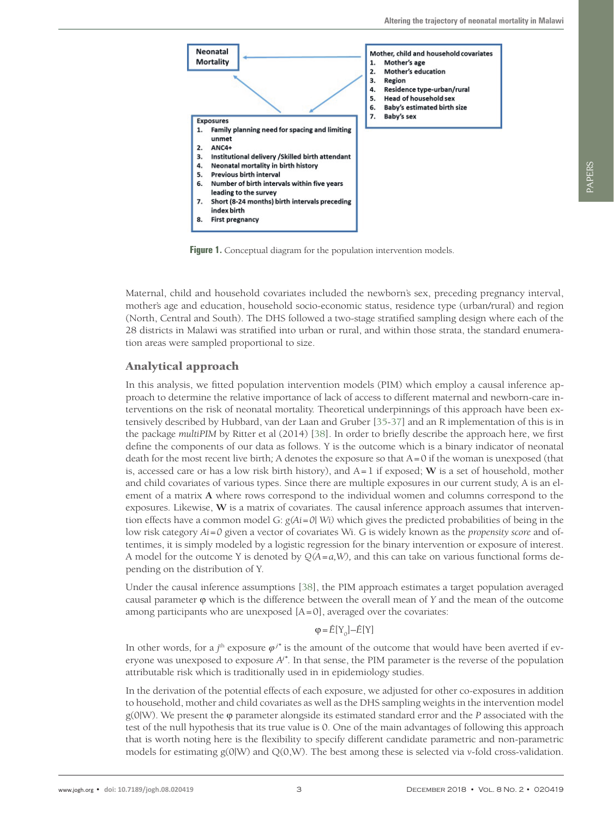<span id="page-2-0"></span>

Figure 1. Conceptual diagram for the population intervention models.

Maternal, child and household covariates included the newborn's sex, preceding pregnancy interval, mother's age and education, household socio-economic status, residence type (urban/rural) and region (North, Central and South). The DHS followed a two-stage stratified sampling design where each of the 28 districts in Malawi was stratified into urban or rural, and within those strata, the standard enumeration areas were sampled proportional to size.

#### Analytical approach

In this analysis, we fitted population intervention models (PIM) which employ a causal inference approach to determine the relative importance of lack of access to different maternal and newborn-care interventions on the risk of neonatal mortality. Theoretical underpinnings of this approach have been extensively described by Hubbard, van der Laan and Gruber [\[35](#page-7-8)[-37\]](#page-7-9) and an R implementation of this is in the package *multiPIM* by Ritter et al (2014) [\[38](#page-7-10)]. In order to briefly describe the approach here, we first define the components of our data as follows. Y is the outcome which is a binary indicator of neonatal death for the most recent live birth*;* A denotes the exposure so that A=0 if the woman is unexposed (that is, accessed care or has a low risk birth history), and A=1 if exposed; **W** is a set of household, mother and child covariates of various types. Since there are multiple exposures in our current study, A is an element of a matrix **A** where rows correspond to the individual women and columns correspond to the exposures. Likewise, **W** is a matrix of covariates. The causal inference approach assumes that intervention effects have a common model G: *g(Ai=0| Wi)* which gives the predicted probabilities of being in the low risk category *Ai=0* given a vector of covariates Wi. G is widely known as the *propensity score* and oftentimes, it is simply modeled by a logistic regression for the binary intervention or exposure of interest. A model for the outcome Y is denoted by *Q(A=a,W),* and this can take on various functional forms depending on the distribution of Y.

Under the causal inference assumptions [[38](#page-7-10)], the PIM approach estimates a target population averaged causal parameter φ which is the difference between the overall mean of *Y* and the mean of the outcome among participants who are unexposed [A=0], averaged over the covariates:

#### $\varphi = \hat{E}[Y_0] - \hat{E}[Y]$

In other words, for a *j*<sup>th</sup> exposure  $\varphi^{j^*}$  is the amount of the outcome that would have been averted if everyone was unexposed to exposure  $A<sup>i</sup>$ . In that sense, the PIM parameter is the reverse of the population attributable risk which is traditionally used in in epidemiology studies.

In the derivation of the potential effects of each exposure, we adjusted for other co-exposures in addition to household, mother and child covariates as well as the DHS sampling weights in the intervention model g(0|W). We present the φ parameter alongside its estimated standard error and the *P* associated with the test of the null hypothesis that its true value is 0. One of the main advantages of following this approach that is worth noting here is the flexibility to specify different candidate parametric and non-parametric models for estimating g(0|W) and Q(0,W). The best among these is selected via *v*-fold cross-validation.

PAPERS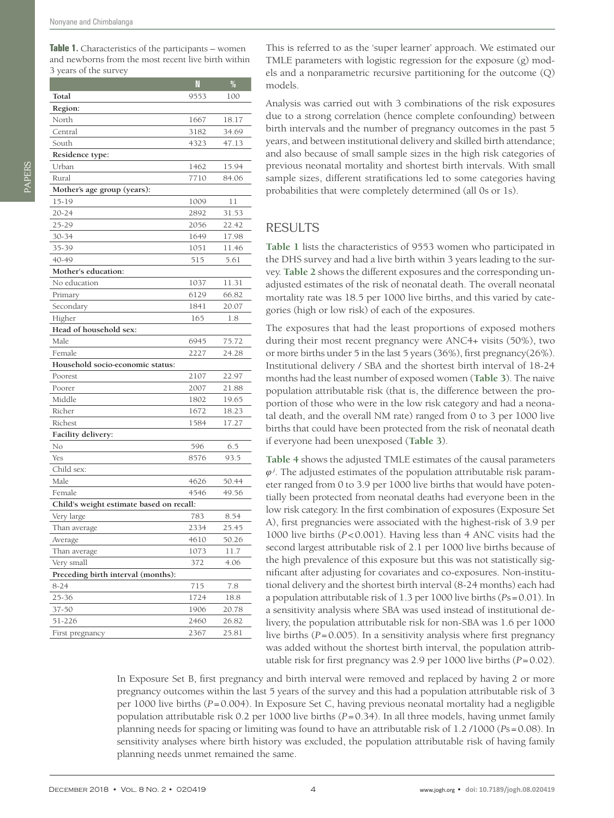<span id="page-3-0"></span>**Table 1.** Characteristics of the participants – women and newborns from the most recent live birth within 3 years of the survey

|                                          | N    | $\frac{0}{0}$ |  |  |  |  |  |
|------------------------------------------|------|---------------|--|--|--|--|--|
| Total                                    | 9553 | 100           |  |  |  |  |  |
| Region:                                  |      |               |  |  |  |  |  |
| North                                    | 1667 | 18.17         |  |  |  |  |  |
| Central                                  | 3182 | 34.69         |  |  |  |  |  |
| South                                    | 4323 | 47.13         |  |  |  |  |  |
| Residence type:                          |      |               |  |  |  |  |  |
| Urban                                    | 1462 | 15.94         |  |  |  |  |  |
| Rural                                    | 7710 | 84.06         |  |  |  |  |  |
| Mother's age group (years):              |      |               |  |  |  |  |  |
| 15-19                                    | 1009 | 11            |  |  |  |  |  |
| $20 - 24$                                | 2892 | 31.53         |  |  |  |  |  |
| 25-29                                    | 2056 | 22.42         |  |  |  |  |  |
| 30-34                                    | 1649 | 17.98         |  |  |  |  |  |
| 35-39                                    | 1051 | 11.46         |  |  |  |  |  |
| 40-49                                    | 515  | 5.61          |  |  |  |  |  |
| Mother's education:                      |      |               |  |  |  |  |  |
| No education                             | 1037 | 11.31         |  |  |  |  |  |
| Primary                                  | 6129 | 66.82         |  |  |  |  |  |
| Secondary                                | 1841 | 20.07         |  |  |  |  |  |
| Higher                                   | 165  | 1.8           |  |  |  |  |  |
| Head of household sex:                   |      |               |  |  |  |  |  |
| Male                                     | 6945 | 75.72         |  |  |  |  |  |
| Female                                   | 2227 | 24.28         |  |  |  |  |  |
| Household socio-economic status:         |      |               |  |  |  |  |  |
| Poorest                                  | 2107 | 22.97         |  |  |  |  |  |
| Poorer                                   | 2007 | 21.88         |  |  |  |  |  |
| Middle                                   | 1802 | 19.65         |  |  |  |  |  |
| Richer                                   | 1672 | 18.23         |  |  |  |  |  |
| Richest                                  | 1584 | 17.27         |  |  |  |  |  |
| Facility delivery:                       |      |               |  |  |  |  |  |
| No                                       | 596  | 6.5           |  |  |  |  |  |
| Yes                                      | 8576 | 93.5          |  |  |  |  |  |
| Child sex:                               |      |               |  |  |  |  |  |
| Male                                     | 4626 | 50.44         |  |  |  |  |  |
| Female                                   | 4546 | 49.56         |  |  |  |  |  |
| Child's weight estimate based on recall: |      |               |  |  |  |  |  |
| Very large                               | 783  | 8.54          |  |  |  |  |  |
| Than average                             | 2334 | 25.45         |  |  |  |  |  |
| Average                                  | 4610 | 50.26         |  |  |  |  |  |
| Than average                             | 1073 | 11.7          |  |  |  |  |  |
| Very small                               | 372  | 4.06          |  |  |  |  |  |
| Preceding birth interval (months):       |      |               |  |  |  |  |  |
| $8 - 24$                                 | 715  | 7.8           |  |  |  |  |  |
| 25-36                                    | 1724 | 18.8          |  |  |  |  |  |
| 37-50                                    | 1906 | 20.78         |  |  |  |  |  |
| 51-226                                   | 2460 | 26.82         |  |  |  |  |  |
| First pregnancy                          | 2367 | 25.81         |  |  |  |  |  |

This is referred to as the 'super learner' approach. We estimated our TMLE parameters with logistic regression for the exposure (g) models and a nonparametric recursive partitioning for the outcome (Q) models.

Analysis was carried out with 3 combinations of the risk exposures due to a strong correlation (hence complete confounding) between birth intervals and the number of pregnancy outcomes in the past 5 years, and between institutional delivery and skilled birth attendance; and also because of small sample sizes in the high risk categories of previous neonatal mortality and shortest birth intervals. With small sample sizes, different stratifications led to some categories having probabilities that were completely determined (all 0s or 1s).

#### RESULTS

**[Table 1](#page-3-0)** lists the characteristics of 9553 women who participated in the DHS survey and had a live birth within 3 years leading to the survey. **[Table 2](#page-4-0)** shows the different exposures and the corresponding unadjusted estimates of the risk of neonatal death. The overall neonatal mortality rate was 18.5 per 1000 live births, and this varied by categories (high or low risk) of each of the exposures.

The exposures that had the least proportions of exposed mothers during their most recent pregnancy were ANC4+ visits (50%), two or more births under 5 in the last 5 years (36%), first pregnancy(26%). Institutional delivery / SBA and the shortest birth interval of 18-24 months had the least number of exposed women (**[Table 3](#page-4-1)**). The naive population attributable risk (that is, the difference between the proportion of those who were in the low risk category and had a neonatal death, and the overall NM rate) ranged from 0 to 3 per 1000 live births that could have been protected from the risk of neonatal death if everyone had been unexposed (**[Table 3](#page-4-1)**).

**[Table 4](#page-4-2)** shows the adjusted TMLE estimates of the causal parameters  $\varphi$ <sup>*j*</sup>. The adjusted estimates of the population attributable risk parameter ranged from 0 to 3.9 per 1000 live births that would have potentially been protected from neonatal deaths had everyone been in the low risk category. In the first combination of exposures (Exposure Set A), first pregnancies were associated with the highest-risk of 3.9 per 1000 live births (*P*<0.001). Having less than 4 ANC visits had the second largest attributable risk of 2.1 per 1000 live births because of the high prevalence of this exposure but this was not statistically significant after adjusting for covariates and co-exposures. Non-institutional delivery and the shortest birth interval (8-24 months) each had a population attributable risk of 1.3 per 1000 live births (*P*s=0.01). In a sensitivity analysis where SBA was used instead of institutional delivery, the population attributable risk for non-SBA was 1.6 per 1000 live births  $(P=0.005)$ . In a sensitivity analysis where first pregnancy was added without the shortest birth interval, the population attributable risk for first pregnancy was 2.9 per 1000 live births (*P*=0.02).

In Exposure Set B, first pregnancy and birth interval were removed and replaced by having 2 or more pregnancy outcomes within the last 5 years of the survey and this had a population attributable risk of 3 per 1000 live births (*P*=0.004). In Exposure Set C, having previous neonatal mortality had a negligible population attributable risk 0.2 per 1000 live births (*P*=0.34). In all three models, having unmet family planning needs for spacing or limiting was found to have an attributable risk of 1.2 /1000 (*P*s=0.08). In sensitivity analyses where birth history was excluded, the population attributable risk of having family planning needs unmet remained the same.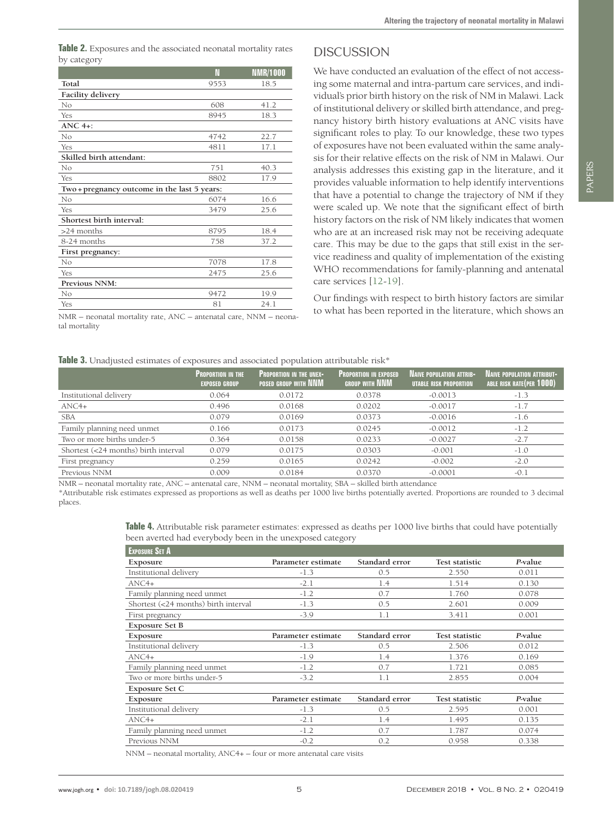<span id="page-4-0"></span>

|             | Table 2. Exposures and the associated neonatal mortality rates |  |  |  |
|-------------|----------------------------------------------------------------|--|--|--|
| by category |                                                                |  |  |  |

|                                              | N    | <b>NMR/1000</b> |  |  |  |
|----------------------------------------------|------|-----------------|--|--|--|
| Total                                        | 9553 | 18.5            |  |  |  |
| <b>Facility delivery</b>                     |      |                 |  |  |  |
| No                                           | 608  | 41.2            |  |  |  |
| Yes                                          | 8945 | 18.3            |  |  |  |
| $ANC.4+$                                     |      |                 |  |  |  |
| No                                           | 4742 | 22.7            |  |  |  |
| Yes                                          | 4811 | 17.1            |  |  |  |
| Skilled birth attendant:                     |      |                 |  |  |  |
| No                                           | 751  | 40.3            |  |  |  |
| Yes                                          | 8802 | 17.9            |  |  |  |
| Two + pregnancy outcome in the last 5 years: |      |                 |  |  |  |
| No                                           | 6074 | 16.6            |  |  |  |
| Yes                                          | 3479 | 25.6            |  |  |  |
| Shortest birth interval:                     |      |                 |  |  |  |
| >24 months                                   | 8795 | 18.4            |  |  |  |
| 8-24 months                                  | 758  | 37.2            |  |  |  |
| First pregnancy:                             |      |                 |  |  |  |
| No                                           | 7078 | 17.8            |  |  |  |
| Yes                                          | 2475 | 25.6            |  |  |  |
| Previous NNM:                                |      |                 |  |  |  |
| No                                           | 9472 | 19.9            |  |  |  |
| Yes                                          | 81   | 24.1            |  |  |  |

NMR – neonatal mortality rate, ANC – antenatal care, NNM – neonatal mortality

## DISCUSSION

We have conducted an evaluation of the effect of not accessing some maternal and intra-partum care services, and individual's prior birth history on the risk of NM in Malawi. Lack of institutional delivery or skilled birth attendance, and pregnancy history birth history evaluations at ANC visits have significant roles to play. To our knowledge, these two types of exposures have not been evaluated within the same analysis for their relative effects on the risk of NM in Malawi. Our analysis addresses this existing gap in the literature, and it provides valuable information to help identify interventions that have a potential to change the trajectory of NM if they were scaled up. We note that the significant effect of birth history factors on the risk of NM likely indicates that women who are at an increased risk may not be receiving adequate care. This may be due to the gaps that still exist in the service readiness and quality of implementation of the existing WHO recommendations for family-planning and antenatal care services [\[12](#page-6-16)[-19\]](#page-6-7).

Our findings with respect to birth history factors are similar to what has been reported in the literature, which shows an

#### <span id="page-4-1"></span>**Table 3.** Unadjusted estimates of exposures and associated population attributable risk<sup>\*</sup>

|                                      | <b>PROPORTION IN THE</b><br><b>EXPOSED GROUP</b> | <b>PROPORTION IN THE UNEX-</b><br>POSED GROUP WITH NNM | <b>PROPORTION IN EXPOSED</b><br><b>GROUP WITH NNM</b> | <b>NAIVE POPULATION ATTRIB-</b><br>UTABLE RISK PROPORTION | <b>NAIVE POPULATION ATTRIBUT-</b><br>ABLE RISK RATE (PER 1000) |
|--------------------------------------|--------------------------------------------------|--------------------------------------------------------|-------------------------------------------------------|-----------------------------------------------------------|----------------------------------------------------------------|
| Institutional delivery               | 0.064                                            | 0.0172                                                 | 0.0378                                                | $-0.0013$                                                 | $-1.3$                                                         |
| $\text{ANC4+}$                       | 0.496                                            | 0.0168                                                 | 0.0202                                                | $-0.0017$                                                 | $-1.7$                                                         |
| <b>SBA</b>                           | 0.079                                            | 0.0169                                                 | 0.0373                                                | $-0.0016$                                                 | $-1.6$                                                         |
| Family planning need unmet           | 0.166                                            | 0.0173                                                 | 0.0245                                                | $-0.0012$                                                 | $-1.2$                                                         |
| Two or more births under-5           | 0.364                                            | 0.0158                                                 | 0.0233                                                | $-0.0027$                                                 | $-2.7$                                                         |
| Shortest (<24 months) birth interval | 0.079                                            | 0.0175                                                 | 0.0303                                                | $-0.001$                                                  | $-1.0$                                                         |
| First pregnancy                      | 0.259                                            | 0.0165                                                 | 0.0242                                                | $-0.002$                                                  | $-2.0$                                                         |
| Previous NNM                         | 0.009                                            | 0.0184                                                 | 0.0370                                                | $-0.0001$                                                 | $-0.1$                                                         |
|                                      |                                                  |                                                        |                                                       |                                                           |                                                                |

NMR – neonatal mortality rate, ANC – antenatal care, NNM – neonatal mortality, SBA – skilled birth attendance

\*Attributable risk estimates expressed as proportions as well as deaths per 1000 live births potentially averted. Proportions are rounded to 3 decimal places.

<span id="page-4-2"></span>

| Table 4. Attributable risk parameter estimates: expressed as deaths per 1000 live births that could have potentially |  |
|----------------------------------------------------------------------------------------------------------------------|--|
| been averted had everybody been in the unexposed category                                                            |  |

| <b>EXPOSURE SET A</b>                |                    |                |                       |         |
|--------------------------------------|--------------------|----------------|-----------------------|---------|
| Exposure                             | Parameter estimate | Standard error | <b>Test statistic</b> | P-value |
| Institutional delivery               | $-1.3$             | 0.5            | 2.550                 | 0.011   |
| $ANC4+$                              | $-2.1$             | 1.4            | 1.514                 | 0.130   |
| Family planning need unmet           | $-1.2$             | 0.7            | 1.760                 | 0.078   |
| Shortest (<24 months) birth interval | $-1.3$             | 0.5            | 2.601                 | 0.009   |
| First pregnancy                      | $-3.9$             | 1.1            | 3.411                 | 0.001   |
| <b>Exposure Set B</b>                |                    |                |                       |         |
| Exposure                             | Parameter estimate | Standard error | <b>Test statistic</b> | P-value |
| Institutional delivery               | $-1.3$             | 0.5            | 2.506                 | 0.012   |
| $ANC4+$                              | $-1.9$             | 1.4            | 1.376                 | 0.169   |
| Family planning need unmet           | $-1.2$             | 0.7            | 1.721                 | 0.085   |
| Two or more births under-5           | $-3.2$             | 1.1            | 2.855                 | 0.004   |
| Exposure Set C                       |                    |                |                       |         |
| <b>Exposure</b>                      | Parameter estimate | Standard error | <b>Test statistic</b> | P-value |
| Institutional delivery               | $-1.3$             | 0.5            | 2.595                 | 0.001   |
| $ANC4+$                              | $-2.1$             | 1.4            | 1.495                 | 0.135   |
| Family planning need unmet           | $-1.2$             | 0.7            | 1.787                 | 0.074   |
| Previous NNM                         | $-0.2$             | 0.2            | 0.958                 | 0.338   |

NNM – neonatal mortality, ANC4+ – four or more antenatal care visits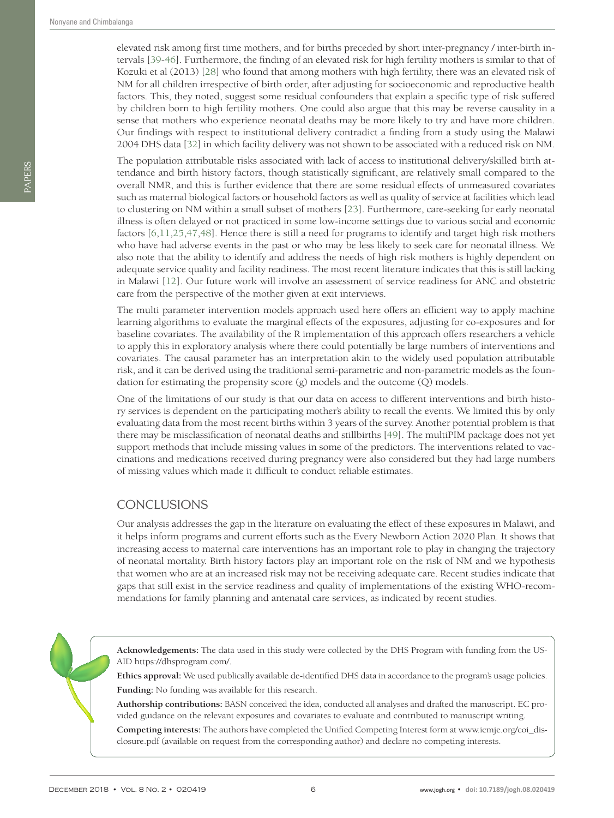elevated risk among first time mothers, and for births preceded by short inter-pregnancy / inter-birth intervals [[39](#page-7-11)-[46](#page-7-12)]. Furthermore, the finding of an elevated risk for high fertility mothers is similar to that of Kozuki et al (2013) [[28\]](#page-7-1) who found that among mothers with high fertility, there was an elevated risk of NM for all children irrespective of birth order, after adjusting for socioeconomic and reproductive health factors. This, they noted, suggest some residual confounders that explain a specific type of risk suffered by children born to high fertility mothers. One could also argue that this may be reverse causality in a sense that mothers who experience neonatal deaths may be more likely to try and have more children. Our findings with respect to institutional delivery contradict a finding from a study using the Malawi 2004 DHS data [\[32\]](#page-7-5) in which facility delivery was not shown to be associated with a reduced risk on NM.

The population attributable risks associated with lack of access to institutional delivery/skilled birth attendance and birth history factors, though statistically significant, are relatively small compared to the overall NMR, and this is further evidence that there are some residual effects of unmeasured covariates such as maternal biological factors or household factors as well as quality of service at facilities which lead to clustering on NM within a small subset of mothers [\[23\]](#page-6-17). Furthermore, care-seeking for early neonatal illness is often delayed or not practiced in some low-income settings due to various social and economic factors [[6](#page-6-1)[,11](#page-6-12),[25](#page-6-13)[,47](#page-7-13)[,48](#page-7-14)]. Hence there is still a need for programs to identify and target high risk mothers who have had adverse events in the past or who may be less likely to seek care for neonatal illness. We also note that the ability to identify and address the needs of high risk mothers is highly dependent on adequate service quality and facility readiness. The most recent literature indicates that this is still lacking in Malawi [[12](#page-6-16)]. Our future work will involve an assessment of service readiness for ANC and obstetric care from the perspective of the mother given at exit interviews.

The multi parameter intervention models approach used here offers an efficient way to apply machine learning algorithms to evaluate the marginal effects of the exposures, adjusting for co-exposures and for baseline covariates. The availability of the R implementation of this approach offers researchers a vehicle to apply this in exploratory analysis where there could potentially be large numbers of interventions and covariates. The causal parameter has an interpretation akin to the widely used population attributable risk, and it can be derived using the traditional semi-parametric and non-parametric models as the foundation for estimating the propensity score (g) models and the outcome (Q) models.

One of the limitations of our study is that our data on access to different interventions and birth history services is dependent on the participating mother's ability to recall the events. We limited this by only evaluating data from the most recent births within 3 years of the survey. Another potential problem is that there may be misclassification of neonatal deaths and stillbirths [[49](#page-7-15)]. The multiPIM package does not yet support methods that include missing values in some of the predictors. The interventions related to vaccinations and medications received during pregnancy were also considered but they had large numbers of missing values which made it difficult to conduct reliable estimates.

## **CONCLUSIONS**

Our analysis addresses the gap in the literature on evaluating the effect of these exposures in Malawi, and it helps inform programs and current efforts such as the Every Newborn Action 2020 Plan. It shows that increasing access to maternal care interventions has an important role to play in changing the trajectory of neonatal mortality. Birth history factors play an important role on the risk of NM and we hypothesis that women who are at an increased risk may not be receiving adequate care. Recent studies indicate that gaps that still exist in the service readiness and quality of implementations of the existing WHO-recommendations for family planning and antenatal care services, as indicated by recent studies.

**Acknowledgements:** The data used in this study were collected by the DHS Program with funding from the US-AID https://dhsprogram.com/.

**Ethics approval:** We used publically available de-identified DHS data in accordance to the program's usage policies. **Funding:** No funding was available for this research.

**Authorship contributions:** BASN conceived the idea, conducted all analyses and drafted the manuscript. EC provided guidance on the relevant exposures and covariates to evaluate and contributed to manuscript writing.

**Competing interests:** The authors have completed the Unified Competing Interest form at www.icmje.org/coi\_disclosure.pdf (available on request from the corresponding author) and declare no competing interests.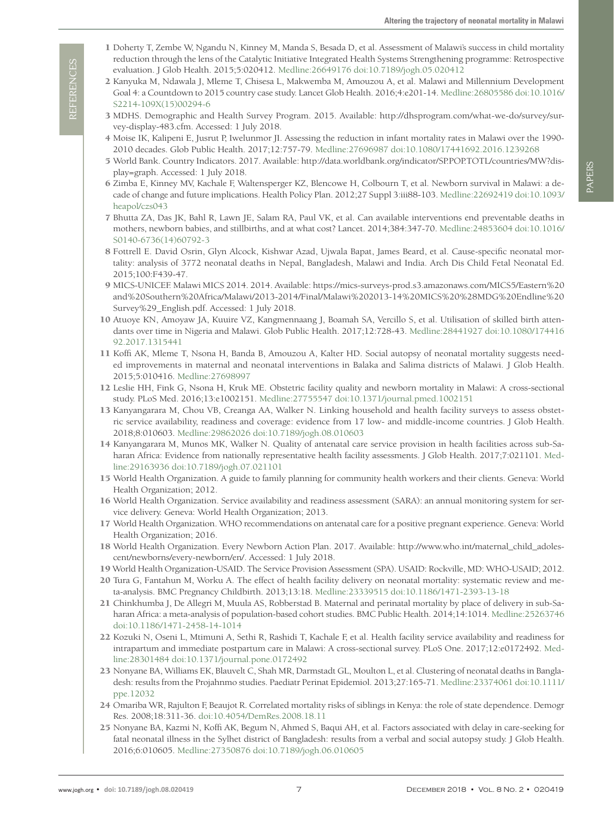- <span id="page-6-0"></span> 1 Doherty T, Zembe W, Ngandu N, Kinney M, Manda S, Besada D, et al. Assessment of Malawi's success in child mortality reduction through the lens of the Catalytic Initiative Integrated Health Systems Strengthening programme: Retrospective evaluation. J Glob Health. 2015;5:020412. [Medline:26649176](https://www.ncbi.nlm.nih.gov/entrez/query.fcgi?cmd=Retrieve&db=PubMed&list_uids=26649176&dopt=Abstract) [doi:10.7189/jogh.05.020412](https://doi.org/10.7189/jogh.05.020412)
- <span id="page-6-14"></span> 2 Kanyuka M, Ndawala J, Mleme T, Chisesa L, Makwemba M, Amouzou A, et al. Malawi and Millennium Development Goal 4: a Countdown to 2015 country case study. Lancet Glob Health. 2016;4:e201-14. [Medline:26805586](https://www.ncbi.nlm.nih.gov/entrez/query.fcgi?cmd=Retrieve&db=PubMed&list_uids=26805586&dopt=Abstract) [doi:10.1016/](https://doi.org/10.1016/S2214-109X(15)00294-6) [S2214-109X\(15\)00294-6](https://doi.org/10.1016/S2214-109X(15)00294-6)
- <span id="page-6-2"></span> 3 MDHS. Demographic and Health Survey Program. 2015. Available: http://dhsprogram.com/what-we-do/survey/survey-display-483.cfm. Accessed: 1 July 2018.
- 4 Moise IK, Kalipeni E, Jusrut P, Iwelunmor JI. Assessing the reduction in infant mortality rates in Malawi over the 1990- 2010 decades. Glob Public Health. 2017;12:757-79. [Medline:27696987](https://www.ncbi.nlm.nih.gov/entrez/query.fcgi?cmd=Retrieve&db=PubMed&list_uids=27696987&dopt=Abstract) [doi:10.1080/17441692.2016.1239268](https://doi.org/10.1080/17441692.2016.1239268)
- 5 World Bank. Country Indicators. 2017. Available: http://data.worldbank.org/indicator/SP.POP.TOTL/countries/MW?display=graph. Accessed: 1 July 2018.
- <span id="page-6-1"></span> 6 Zimba E, Kinney MV, Kachale F, Waltensperger KZ, Blencowe H, Colbourn T, et al. Newborn survival in Malawi: a decade of change and future implications. Health Policy Plan. 2012;27 Suppl 3:iii88-103[. Medline:22692419](https://www.ncbi.nlm.nih.gov/entrez/query.fcgi?cmd=Retrieve&db=PubMed&list_uids=22692419&dopt=Abstract) [doi:10.1093/](https://doi.org/10.1093/heapol/czs043) [heapol/czs043](https://doi.org/10.1093/heapol/czs043)
- <span id="page-6-3"></span> 7 Bhutta ZA, Das JK, Bahl R, Lawn JE, Salam RA, Paul VK, et al. Can available interventions end preventable deaths in mothers, newborn babies, and stillbirths, and at what cost? Lancet. 2014;384:347-70[. Medline:24853604](https://www.ncbi.nlm.nih.gov/entrez/query.fcgi?cmd=Retrieve&db=PubMed&list_uids=24853604&dopt=Abstract) [doi:10.1016/](https://doi.org/10.1016/S0140-6736(14)60792-3) [S0140-6736\(14\)60792-3](https://doi.org/10.1016/S0140-6736(14)60792-3)
- <span id="page-6-4"></span> 8 Fottrell E. David Osrin, Glyn Alcock, Kishwar Azad, Ujwala Bapat, James Beard, et al. Cause-specific neonatal mortality: analysis of 3772 neonatal deaths in Nepal, Bangladesh, Malawi and India. Arch Dis Child Fetal Neonatal Ed. 2015;100:F439-47.
- <span id="page-6-5"></span> 9 MICS-UNICEF. Malawi MICS 2014. 2014. Available: https://mics-surveys-prod.s3.amazonaws.com/MICS5/Eastern%20 and%20Southern%20Africa/Malawi/2013-2014/Final/Malawi%202013-14%20MICS%20%28MDG%20Endline%20 Survey%29\_English.pdf. Accessed: 1 July 2018.
- <span id="page-6-6"></span>10 Atuoye KN, Amoyaw JA, Kuuire VZ, Kangmennaang J, Boamah SA, Vercillo S, et al. Utilisation of skilled birth attendants over time in Nigeria and Malawi. Glob Public Health. 2017;12:728-43. [Medline:28441927](https://www.ncbi.nlm.nih.gov/entrez/query.fcgi?cmd=Retrieve&db=PubMed&list_uids=28441927&dopt=Abstract) [doi:10.1080/174416](https://doi.org/10.1080/17441692.2017.1315441) [92.2017.1315441](https://doi.org/10.1080/17441692.2017.1315441)
- <span id="page-6-12"></span>11 Koffi AK, Mleme T, Nsona H, Banda B, Amouzou A, Kalter HD. Social autopsy of neonatal mortality suggests needed improvements in maternal and neonatal interventions in Balaka and Salima districts of Malawi. J Glob Health. 2015;5:010416. [Medline:27698997](https://www.ncbi.nlm.nih.gov/entrez/query.fcgi?cmd=Retrieve&db=PubMed&list_uids=27698997&dopt=Abstract)
- <span id="page-6-16"></span>12 Leslie HH, Fink G, Nsona H, Kruk ME. Obstetric facility quality and newborn mortality in Malawi: A cross-sectional study. PLoS Med. 2016;13:e1002151[. Medline:27755547](https://www.ncbi.nlm.nih.gov/entrez/query.fcgi?cmd=Retrieve&db=PubMed&list_uids=27755547&dopt=Abstract) [doi:10.1371/journal.pmed.1002151](https://doi.org/10.1371/journal.pmed.1002151)
- 13 Kanyangarara M, Chou VB, Creanga AA, Walker N. Linking household and health facility surveys to assess obstetric service availability, readiness and coverage: evidence from 17 low- and middle-income countries. J Glob Health. 2018;8:010603. [Medline:29862026](https://www.ncbi.nlm.nih.gov/entrez/query.fcgi?cmd=Retrieve&db=PubMed&list_uids=29862026&dopt=Abstract) [doi:10.7189/jogh.08.010603](https://doi.org/10.7189/jogh.08.010603)
- 14 Kanyangarara M, Munos MK, Walker N. Quality of antenatal care service provision in health facilities across sub-Saharan Africa: Evidence from nationally representative health facility assessments. J Glob Health. 2017;7:021101[. Med](https://www.ncbi.nlm.nih.gov/entrez/query.fcgi?cmd=Retrieve&db=PubMed&list_uids=29163936&dopt=Abstract)[line:29163936](https://www.ncbi.nlm.nih.gov/entrez/query.fcgi?cmd=Retrieve&db=PubMed&list_uids=29163936&dopt=Abstract) [doi:10.7189/jogh.07.021101](https://doi.org/10.7189/jogh.07.021101)
- 15 World Health Organization. A guide to family planning for community health workers and their clients. Geneva: World Health Organization; 2012.
- 16 World Health Organization. Service availability and readiness assessment (SARA): an annual monitoring system for service delivery. Geneva: World Health Organization; 2013.
- 17 World Health Organization. WHO recommendations on antenatal care for a positive pregnant experience. Geneva: World Health Organization; 2016.
- <span id="page-6-15"></span>18 World Health Organization. Every Newborn Action Plan. 2017. Available: http://www.who.int/maternal\_child\_adolescent/newborns/every-newborn/en/. Accessed: 1 July 2018.
- <span id="page-6-7"></span>19 World Health Organization-USAID. The Service Provision Assessment (SPA). USAID: Rockville, MD: WHO-USAID; 2012.
- <span id="page-6-8"></span>20 Tura G, Fantahun M, Worku A. The effect of health facility delivery on neonatal mortality: systematic review and meta-analysis. BMC Pregnancy Childbirth. 2013;13:18[. Medline:23339515](https://www.ncbi.nlm.nih.gov/entrez/query.fcgi?cmd=Retrieve&db=PubMed&list_uids=23339515&dopt=Abstract) [doi:10.1186/1471-2393-13-18](https://doi.org/10.1186/1471-2393-13-18)
- <span id="page-6-9"></span>21 Chinkhumba J, De Allegri M, Muula AS, Robberstad B. Maternal and perinatal mortality by place of delivery in sub-Saharan Africa: a meta-analysis of population-based cohort studies. BMC Public Health. 2014;14:1014[. Medline:25263746](https://www.ncbi.nlm.nih.gov/entrez/query.fcgi?cmd=Retrieve&db=PubMed&list_uids=25263746&dopt=Abstract) [doi:10.1186/1471-2458-14-1014](https://doi.org/10.1186/1471-2458-14-1014)
- <span id="page-6-10"></span>22 Kozuki N, Oseni L, Mtimuni A, Sethi R, Rashidi T, Kachale F, et al. Health facility service availability and readiness for intrapartum and immediate postpartum care in Malawi: A cross-sectional survey. PLoS One. 2017;12:e0172492. [Med](https://www.ncbi.nlm.nih.gov/entrez/query.fcgi?cmd=Retrieve&db=PubMed&list_uids=28301484&dopt=Abstract)[line:28301484](https://www.ncbi.nlm.nih.gov/entrez/query.fcgi?cmd=Retrieve&db=PubMed&list_uids=28301484&dopt=Abstract) [doi:10.1371/journal.pone.0172492](https://doi.org/10.1371/journal.pone.0172492)
- <span id="page-6-17"></span>23 Nonyane BA, Williams EK, Blauvelt C, Shah MR, Darmstadt GL, Moulton L, et al. Clustering of neonatal deaths in Bangladesh: results from the Projahnmo studies. Paediatr Perinat Epidemiol. 2013;27:165-71. [Medline:23374061](https://www.ncbi.nlm.nih.gov/entrez/query.fcgi?cmd=Retrieve&db=PubMed&list_uids=23374061&dopt=Abstract) [doi:10.1111/](https://doi.org/10.1111/ppe.12032) [ppe.12032](https://doi.org/10.1111/ppe.12032)
- <span id="page-6-11"></span>24 Omariba WR, Rajulton F, Beaujot R. Correlated mortality risks of siblings in Kenya: the role of state dependence. Demogr Res. 2008;18:311-36. [doi:10.4054/DemRes.2008.18.11](https://doi.org/10.4054/DemRes.2008.18.11)
- <span id="page-6-13"></span>25 Nonyane BA, Kazmi N, Koffi AK, Begum N, Ahmed S, Baqui AH, et al. Factors associated with delay in care-seeking for fatal neonatal illness in the Sylhet district of Bangladesh: results from a verbal and social autopsy study. J Glob Health. 2016;6:010605. [Medline:27350876](https://www.ncbi.nlm.nih.gov/entrez/query.fcgi?cmd=Retrieve&db=PubMed&list_uids=27350876&dopt=Abstract) [doi:10.7189/jogh.06.010605](https://doi.org/10.7189/jogh.06.010605)

**REFERENCES** REFERENCES